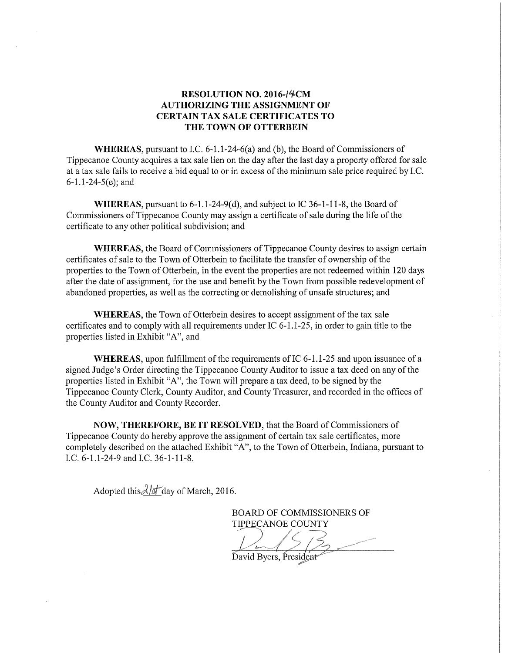## RESOLUTION NO. 2016-14CM AUTHORIZING THE ASSIGNMENT OF CERTAIN TAX SALE CERTIFICATES TO THE TOWN OF OTTERBEIN

WHEREAS, pursuant to I.C.  $6-1.1-24-6(a)$  and (b), the Board of Commissioners of Tippecanoe County acquires a tax sale lien on the day after the last day a property offered for sale at a tax sale fails to receive a bid equal to or in excess of the minimum sale price required by I.C.  $6-1.1-24-5(e)$ ; and

WHEREAS, pursuant to  $6-1.1-24-9(d)$ , and subject to IC 36-1-11-8, the Board of Commissioners of Tippecanoe County may assign a certificate of sale during the life of the certificate to any other political subdivision; and

WHEREAS, the Board of Commissioners of Tippecanoe County desires to assign certain certificates of sale to the Town of Otterbein to facilitate the transfer of ownership ofthe properties to the Town of Otterbein, in the event the properties are not redeemed within 120 days after the date of assignment, for the use and benefit by the Town from possible redevelopment of abandoned properties, as well as the correcting or demolishing of unsafe structures; and

WHEREAS, the Town of Otterbein desires to accept assignment of the tax sale certificates and to comply with all requirements under IC  $6-1.1-25$ , in order to gain title to the properties listed in Exhibit "A", and

WHEREAS, upon fulfillment of the requirements of IC  $6-1.1-25$  and upon issuance of a signed Judge's Order directing the Tippecanoe County Auditor to issue <sup>a</sup> tax deed on any ofthe properties listed in Exhibit "A", the Town will prepare <sup>a</sup> tax deed, to be signed by the Tippecanoe County Clerk, County Auditor, and County Treasurer, and recorded in the offices of the County Auditor and County Recorder.

NOW, THEREFORE, BE IT RESOLVED, that the Board of Commissioners of Tippecanoe County do hereby approve the assignment of certain tax sale certificates, more completely described on the attached Exhibit "A", to the Town of Otterbein, Indiana, pursuant to LC. 6—1.1—24—9 and LC. 36—1-11—8.

Adopted this  $\lambda/\pi$  day of March, 2016.

BOARD OF COMMISSIONERS OF TIPPECANOE COUNTY

David Byers, President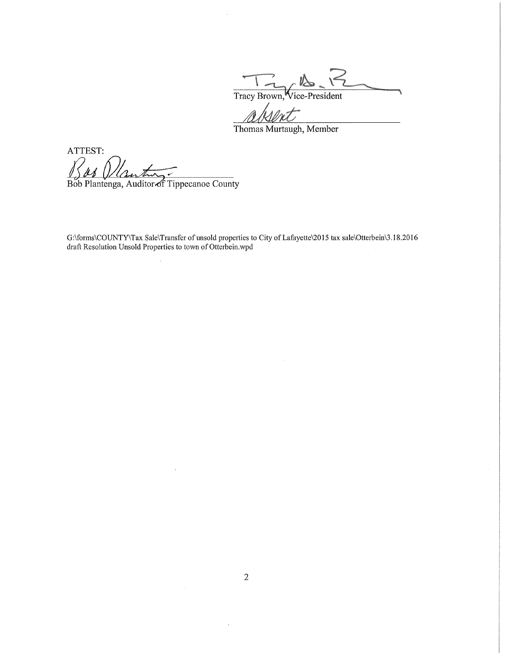$\mathcal{L}$ Tracy Brown, Vice-President

Thomas Murtaugh, Member

ATTEST: 1

Bob Plantenga, Auditor of Tippecanoe County

 $\ddot{\phantom{0}}$ 

G:\forms\COUNTY\Tax Sale\Transfer of unsold properties to City of Lafayette\2015 tax sale\Otterbein\3.18.2016 draft Resolution Unsold Properties to town of Otterbein.wpd